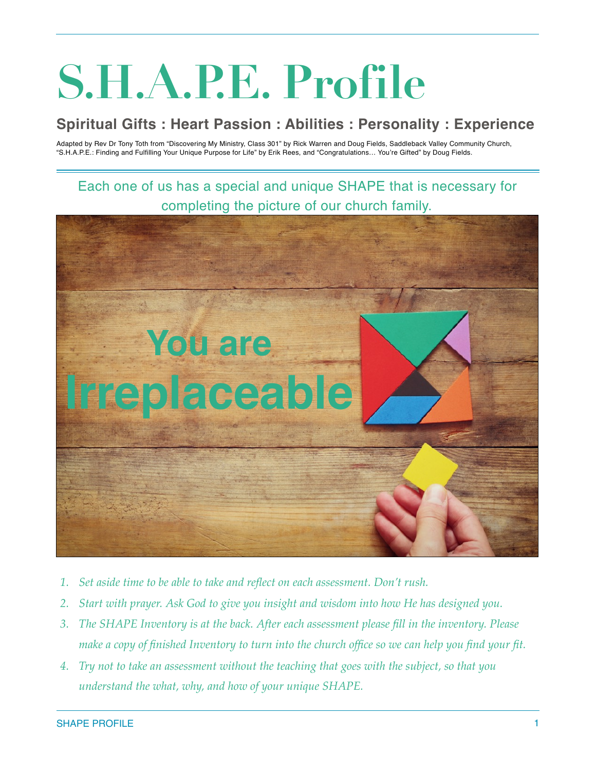# **S.H.A.P.E. Profile**

### **Spiritual Gifts : Heart Passion : Abilities : Personality : Experience**

Adapted by Rev Dr Tony Toth from "Discovering My Ministry, Class 301" by Rick Warren and Doug Fields, Saddleback Valley Community Church, "S.H.A.P.E.: Finding and Fulfilling Your Unique Purpose for Life" by Erik Rees, and "Congratulations… You're Gifted" by Doug Fields.

Each one of us has a special and unique SHAPE that is necessary for completing the picture of our church family.



- *1. Set aside time to be able to take and reflect on each assessment. Don't rush.*
- *2. Start with prayer. Ask God to give you insight and wisdom into how He has designed you.*
- *3. The SHAPE Inventory is at the back. After each assessment please fill in the inventory. Please make a copy of finished Inventory to turn into the church office so we can help you find your fit.*
- *4. Try not to take an assessment without the teaching that goes with the subject, so that you understand the what, why, and how of your unique SHAPE.*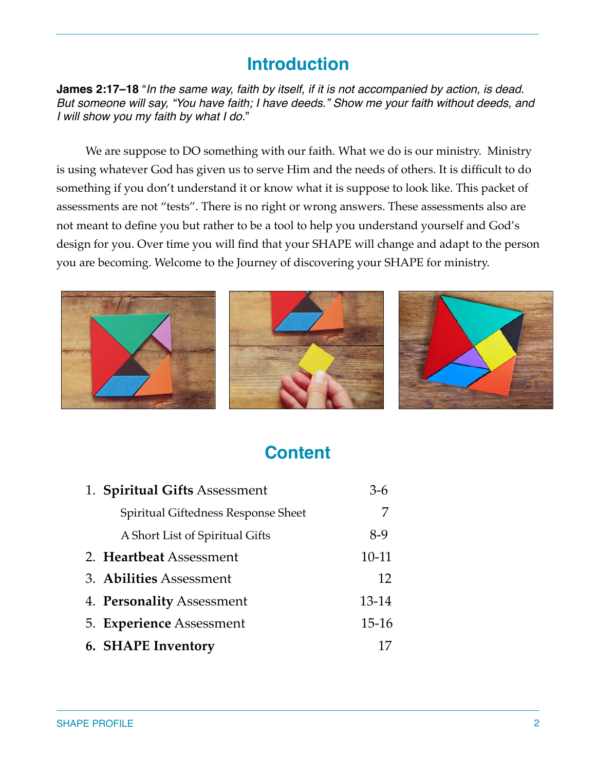## **Introduction**

**James 2:17–18** "*In the same way, faith by itself, if it is not accompanied by action, is dead. But someone will say, "You have faith; I have deeds." Show me your faith without deeds, and I will show you my faith by what I do.*"

We are suppose to DO something with our faith. What we do is our ministry. Ministry is using whatever God has given us to serve Him and the needs of others. It is difficult to do something if you don't understand it or know what it is suppose to look like. This packet of assessments are not "tests". There is no right or wrong answers. These assessments also are not meant to define you but rather to be a tool to help you understand yourself and God's design for you. Over time you will find that your SHAPE will change and adapt to the person you are becoming. Welcome to the Journey of discovering your SHAPE for ministry.



## **Content**

| 1. Spiritual Gifts Assessment       | $3-6$   |
|-------------------------------------|---------|
| Spiritual Giftedness Response Sheet |         |
| A Short List of Spiritual Gifts     | $8-9$   |
| 2. Heartbeat Assessment             | $10-11$ |
| 3. Abilities Assessment             | 12      |
| 4. Personality Assessment           | 13-14   |
| 5. Experience Assessment            | $15-16$ |
| 6. SHAPE Inventory                  |         |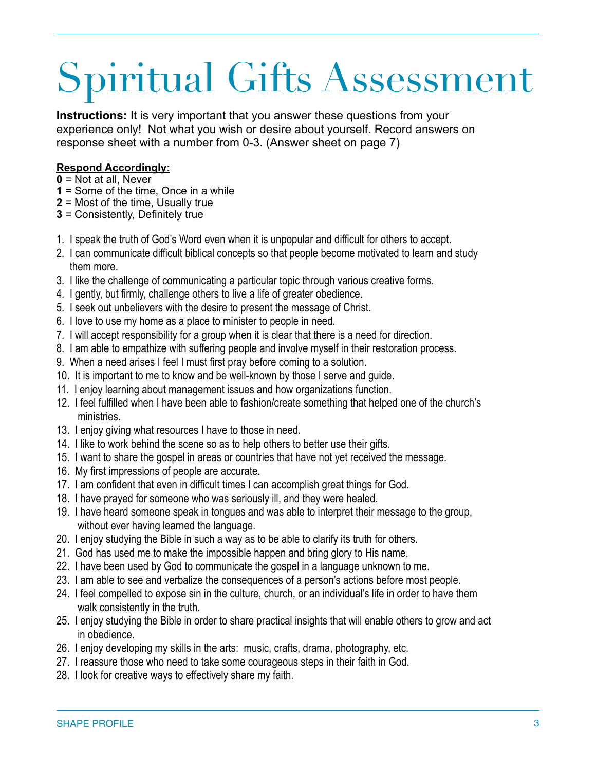# Spiritual Gifts Assessment

**Instructions:** It is very important that you answer these questions from your experience only! Not what you wish or desire about yourself. Record answers on response sheet with a number from 0-3. (Answer sheet on page 7)

### **Respond Accordingly:**

- **0** = Not at all, Never
- **1** = Some of the time, Once in a while
- **2** = Most of the time, Usually true
- **3** = Consistently, Definitely true
- 1. I speak the truth of God's Word even when it is unpopular and difficult for others to accept.
- 2. I can communicate difficult biblical concepts so that people become motivated to learn and study them more.
- 3. I like the challenge of communicating a particular topic through various creative forms.
- 4. I gently, but firmly, challenge others to live a life of greater obedience.
- 5. I seek out unbelievers with the desire to present the message of Christ.
- 6. I love to use my home as a place to minister to people in need.
- 7. I will accept responsibility for a group when it is clear that there is a need for direction.
- 8. I am able to empathize with suffering people and involve myself in their restoration process.
- 9. When a need arises I feel I must first pray before coming to a solution.
- 10. It is important to me to know and be well-known by those I serve and guide.
- 11. I enjoy learning about management issues and how organizations function.
- 12. I feel fulfilled when I have been able to fashion/create something that helped one of the church's ministries.
- 13. I enjoy giving what resources I have to those in need.
- 14. I like to work behind the scene so as to help others to better use their gifts.
- 15. I want to share the gospel in areas or countries that have not yet received the message.
- 16. My first impressions of people are accurate.
- 17. I am confident that even in difficult times I can accomplish great things for God.
- 18. I have prayed for someone who was seriously ill, and they were healed.
- 19. I have heard someone speak in tongues and was able to interpret their message to the group, without ever having learned the language.
- 20. I enjoy studying the Bible in such a way as to be able to clarify its truth for others.
- 21. God has used me to make the impossible happen and bring glory to His name.
- 22. I have been used by God to communicate the gospel in a language unknown to me.
- 23. I am able to see and verbalize the consequences of a person's actions before most people.
- 24. I feel compelled to expose sin in the culture, church, or an individual's life in order to have them walk consistently in the truth.
- 25. I enjoy studying the Bible in order to share practical insights that will enable others to grow and act in obedience.
- 26. I enjoy developing my skills in the arts: music, crafts, drama, photography, etc.
- 27. I reassure those who need to take some courageous steps in their faith in God.
- 28. I look for creative ways to effectively share my faith.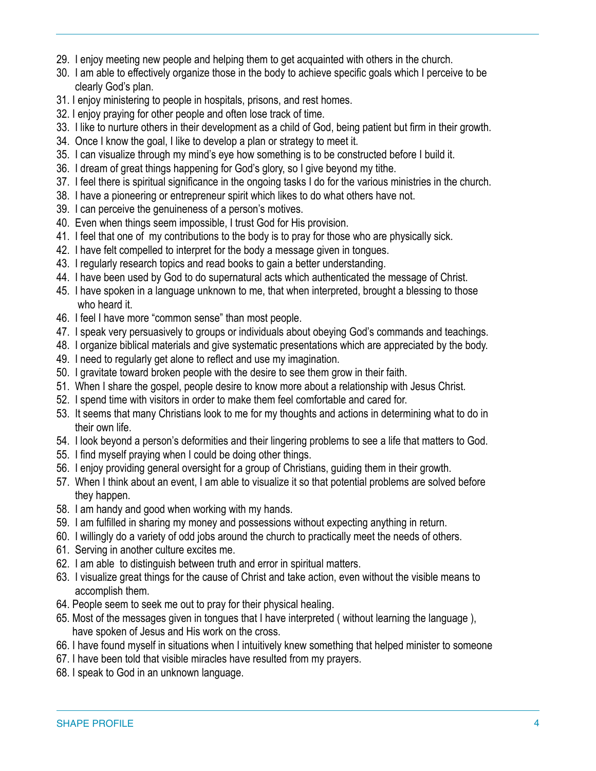- 29. I enjoy meeting new people and helping them to get acquainted with others in the church.
- 30. I am able to effectively organize those in the body to achieve specific goals which I perceive to be clearly God's plan.
- 31. I enjoy ministering to people in hospitals, prisons, and rest homes.
- 32. I enjoy praying for other people and often lose track of time.
- 33. I like to nurture others in their development as a child of God, being patient but firm in their growth.
- 34. Once I know the goal, I like to develop a plan or strategy to meet it.
- 35. I can visualize through my mind's eye how something is to be constructed before I build it.
- 36. I dream of great things happening for God's glory, so I give beyond my tithe.
- 37. I feel there is spiritual significance in the ongoing tasks I do for the various ministries in the church.
- 38. I have a pioneering or entrepreneur spirit which likes to do what others have not.
- 39. I can perceive the genuineness of a person's motives.
- 40. Even when things seem impossible, I trust God for His provision.
- 41. I feel that one of my contributions to the body is to pray for those who are physically sick.
- 42. I have felt compelled to interpret for the body a message given in tongues.
- 43. I regularly research topics and read books to gain a better understanding.
- 44. I have been used by God to do supernatural acts which authenticated the message of Christ.
- 45. I have spoken in a language unknown to me, that when interpreted, brought a blessing to those who heard it.
- 46. I feel I have more "common sense" than most people.
- 47. I speak very persuasively to groups or individuals about obeying God's commands and teachings.
- 48. I organize biblical materials and give systematic presentations which are appreciated by the body.
- 49. I need to regularly get alone to reflect and use my imagination.
- 50. I gravitate toward broken people with the desire to see them grow in their faith.
- 51. When I share the gospel, people desire to know more about a relationship with Jesus Christ.
- 52. I spend time with visitors in order to make them feel comfortable and cared for.
- 53. It seems that many Christians look to me for my thoughts and actions in determining what to do in their own life.
- 54. I look beyond a person's deformities and their lingering problems to see a life that matters to God.
- 55. I find myself praying when I could be doing other things.
- 56. I enjoy providing general oversight for a group of Christians, guiding them in their growth.
- 57. When I think about an event, I am able to visualize it so that potential problems are solved before they happen.
- 58. I am handy and good when working with my hands.
- 59. I am fulfilled in sharing my money and possessions without expecting anything in return.
- 60. I willingly do a variety of odd jobs around the church to practically meet the needs of others.
- 61. Serving in another culture excites me.
- 62. I am able to distinguish between truth and error in spiritual matters.
- 63. I visualize great things for the cause of Christ and take action, even without the visible means to accomplish them.
- 64. People seem to seek me out to pray for their physical healing.
- 65. Most of the messages given in tongues that I have interpreted ( without learning the language ), have spoken of Jesus and His work on the cross.
- 66. I have found myself in situations when I intuitively knew something that helped minister to someone
- 67. I have been told that visible miracles have resulted from my prayers.
- 68. I speak to God in an unknown language.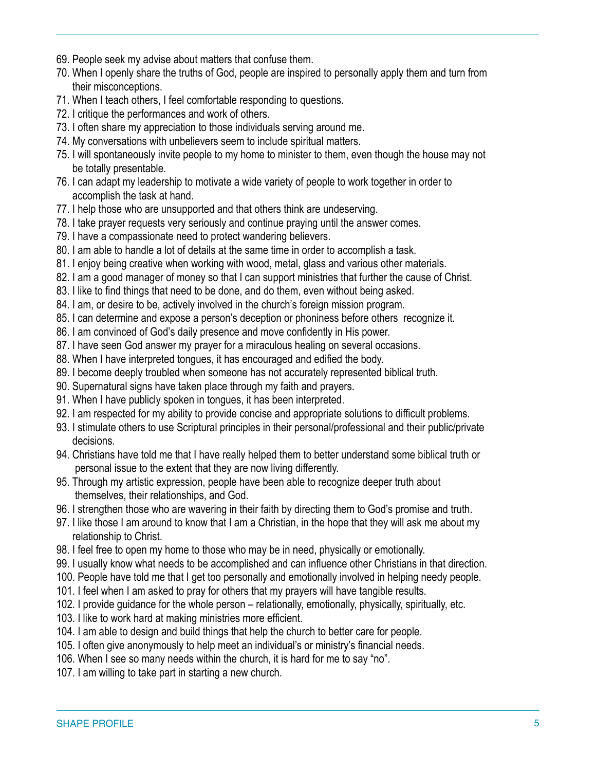- 69. People seek my advise about matters that confuse them.
- 70. When I openly share the truths of God, people are inspired to personally apply them and turn from their misconceptions.
- 71. When I teach others, I feel comfortable responding to questions.
- 72. I critique the performances and work of others.
- 73. I often share my appreciation to those individuals serving around me.
- 74. My conversations with unbelievers seem to include spiritual matters.
- 75. I will spontaneously invite people to my home to minister to them, even though the house may not be totally presentable.
- 76. I can adapt my leadership to motivate a wide variety of people to work together in order to accomplish the task at hand.
- 77. I help those who are unsupported and that others think are undeserving.
- 78. I take prayer requests very seriously and continue praying until the answer comes.
- 79. I have a compassionate need to protect wandering believers.
- 80. I am able to handle a lot of details at the same time in order to accomplish a task.
- 81. I enjoy being creative when working with wood, metal, glass and various other materials.
- 82. I am a good manager of money so that I can support ministries that further the cause of Christ.
- 83. I like to find things that need to be done, and do them, even without being asked.
- 84. I am, or desire to be, actively involved in the church's foreign mission program.
- 85. I can determine and expose a person's deception or phoniness before others recognize it.
- 86. I am convinced of God's daily presence and move confidently in His power.
- 87. I have seen God answer my prayer for a miraculous healing on several occasions.
- 88. When I have interpreted tongues, it has encouraged and edified the body.
- 89. I become deeply troubled when someone has not accurately represented biblical truth.
- 90. Supernatural signs have taken place through my faith and prayers.
- 91. When I have publicly spoken in tongues, it has been interpreted.
- 92. I am respected for my ability to provide concise and appropriate solutions to difficult problems.
- 93. I stimulate others to use Scriptural principles in their personal/professional and their public/private decisions.
- 94. Christians have told me that I have really helped them to better understand some biblical truth or personal issue to the extent that they are now living differently.
- 95. Through my artistic expression, people have been able to recognize deeper truth about themselves, their relationships, and God.
- 96. I strengthen those who are wavering in their faith by directing them to God's promise and truth.
- 97. I like those I am around to know that I am a Christian, in the hope that they will ask me about my relationship to Christ.
- 98. I feel free to open my home to those who may be in need, physically or emotionally.
- 99. I usually know what needs to be accomplished and can influence other Christians in that direction.
- 100. People have told me that I get too personally and emotionally involved in helping needy people.
- 101. I feel when I am asked to pray for others that my prayers will have tangible results.
- 102. I provide guidance for the whole person relationally, emotionally, physically, spiritually, etc.
- 103. I like to work hard at making ministries more efficient.
- 104. I am able to design and build things that help the church to better care for people.
- 105. I often give anonymously to help meet an individual's or ministry's financial needs.
- 106. When I see so many needs within the church, it is hard for me to say "no".
- 107. I am willing to take part in starting a new church.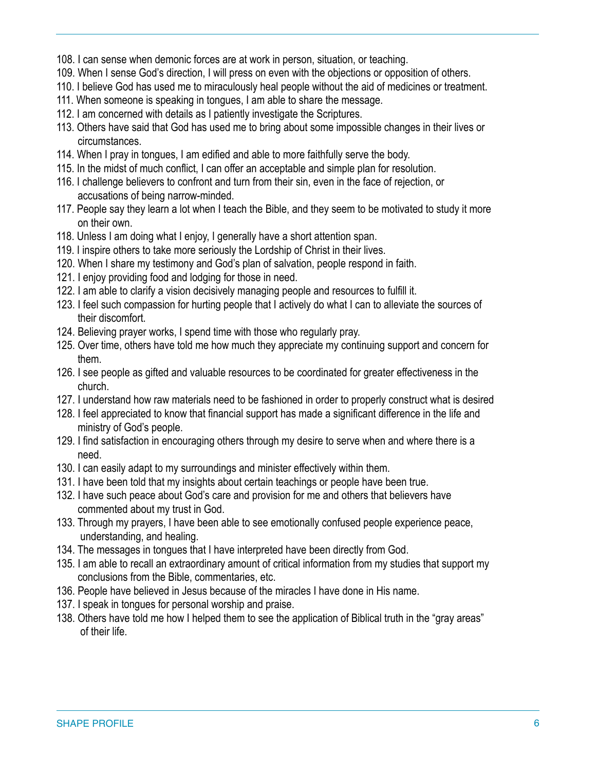- 108. I can sense when demonic forces are at work in person, situation, or teaching.
- 109. When I sense God's direction, I will press on even with the objections or opposition of others.
- 110. I believe God has used me to miraculously heal people without the aid of medicines or treatment.
- 111. When someone is speaking in tongues, I am able to share the message.
- 112. I am concerned with details as I patiently investigate the Scriptures.
- 113. Others have said that God has used me to bring about some impossible changes in their lives or circumstances.
- 114. When I pray in tongues, I am edified and able to more faithfully serve the body.
- 115. In the midst of much conflict, I can offer an acceptable and simple plan for resolution.
- 116. I challenge believers to confront and turn from their sin, even in the face of rejection, or accusations of being narrow-minded.
- 117. People say they learn a lot when I teach the Bible, and they seem to be motivated to study it more on their own.
- 118. Unless I am doing what I enjoy, I generally have a short attention span.
- 119. I inspire others to take more seriously the Lordship of Christ in their lives.
- 120. When I share my testimony and God's plan of salvation, people respond in faith.
- 121. I enjoy providing food and lodging for those in need.
- 122. I am able to clarify a vision decisively managing people and resources to fulfill it.
- 123. I feel such compassion for hurting people that I actively do what I can to alleviate the sources of their discomfort.
- 124. Believing prayer works, I spend time with those who regularly pray.
- 125. Over time, others have told me how much they appreciate my continuing support and concern for them.
- 126. I see people as gifted and valuable resources to be coordinated for greater effectiveness in the church.
- 127. I understand how raw materials need to be fashioned in order to properly construct what is desired
- 128. I feel appreciated to know that financial support has made a significant difference in the life and ministry of God's people.
- 129. I find satisfaction in encouraging others through my desire to serve when and where there is a need.
- 130. I can easily adapt to my surroundings and minister effectively within them.
- 131. I have been told that my insights about certain teachings or people have been true.
- 132. I have such peace about God's care and provision for me and others that believers have commented about my trust in God.
- 133. Through my prayers, I have been able to see emotionally confused people experience peace, understanding, and healing.
- 134. The messages in tongues that I have interpreted have been directly from God.
- 135. I am able to recall an extraordinary amount of critical information from my studies that support my conclusions from the Bible, commentaries, etc.
- 136. People have believed in Jesus because of the miracles I have done in His name.
- 137. I speak in tongues for personal worship and praise.
- 138. Others have told me how I helped them to see the application of Biblical truth in the "gray areas" of their life.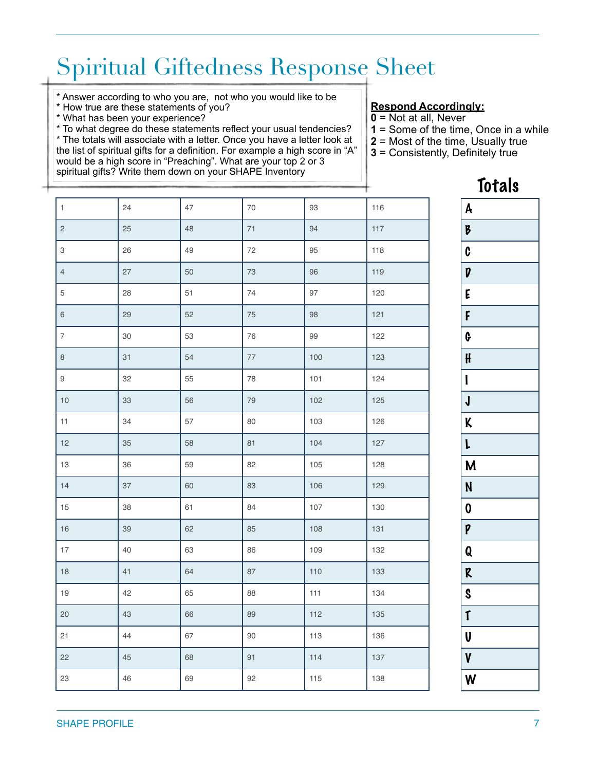## Spiritual Giftedness Response Sheet

\* Answer according to who you are, not who you would like to be

\* How true are these statements of you?

\* What has been your experience?

\* To what degree do these statements reflect your usual tendencies? \* The totals will associate with a letter. Once you have a letter look at the list of spiritual gifts for a definition. For example a high score in "A" would be a high score in "Preaching". What are your top 2 or 3 spiritual gifts? Write them down on your SHAPE Inventory

**Respond Accordingly:** 

- **0** = Not at all, Never
- **1** = Some of the time, Once in a while
- **2** = Most of the time, Usually true
- **3** = Consistently, Definitely true

| $\mathbf{1}$             | 24 | 47     | 70     | 93    | 116   |
|--------------------------|----|--------|--------|-------|-------|
| $\sqrt{2}$               | 25 | 48     | $71\,$ | 94    | $117$ |
| 3                        | 26 | 49     | $72\,$ | 95    | 118   |
| $\overline{4}$           | 27 | $50\,$ | 73     | 96    | 119   |
| 5                        | 28 | 51     | 74     | 97    | 120   |
| $\,6\,$                  | 29 | 52     | 75     | 98    | $121$ |
| $\overline{\mathcal{I}}$ | 30 | 53     | $76\,$ | 99    | 122   |
| $\,8\,$                  | 31 | 54     | $77\,$ | 100   | 123   |
| $\boldsymbol{9}$         | 32 | 55     | 78     | 101   | 124   |
| $10$                     | 33 | 56     | $79\,$ | 102   | 125   |
| 11                       | 34 | 57     | 80     | $103$ | 126   |
| $12$                     | 35 | 58     | 81     | $104$ | 127   |
| $13\,$                   | 36 | 59     | 82     | 105   | 128   |
| 14                       | 37 | 60     | 83     | 106   | 129   |
| $15\,$                   | 38 | 61     | 84     | 107   | 130   |
| $16\,$                   | 39 | 62     | 85     | 108   | 131   |
| $17\,$                   | 40 | 63     | 86     | 109   | 132   |
| $18\,$                   | 41 | 64     | 87     | 110   | 133   |
| $19$                     | 42 | 65     | 88     | 111   | 134   |
| 20                       | 43 | 66     | 89     | $112$ | 135   |
| 21                       | 44 | 67     | $90\,$ | 113   | 136   |
| 22                       | 45 | 68     | 91     | $114$ | 137   |
| 23                       | 46 | 69     | 92     | 115   | 138   |

### Totals

|                                     | IJ<br>Д<br>LAIJ |
|-------------------------------------|-----------------|
| A                                   |                 |
| B                                   |                 |
| C                                   |                 |
| D                                   |                 |
| E                                   |                 |
| F                                   |                 |
| Ģ                                   |                 |
| H                                   |                 |
| l                                   |                 |
| $\frac{1}{\sqrt{2}}$                |                 |
|                                     |                 |
| $\frac{K}{L}$                       |                 |
| M                                   |                 |
| N                                   |                 |
| $\bf{0}$                            |                 |
| p                                   |                 |
| Q                                   |                 |
| R                                   |                 |
| S                                   |                 |
| $\mathbf{I}$                        |                 |
| $\frac{\overline{v}}{\overline{v}}$ |                 |
|                                     |                 |
|                                     |                 |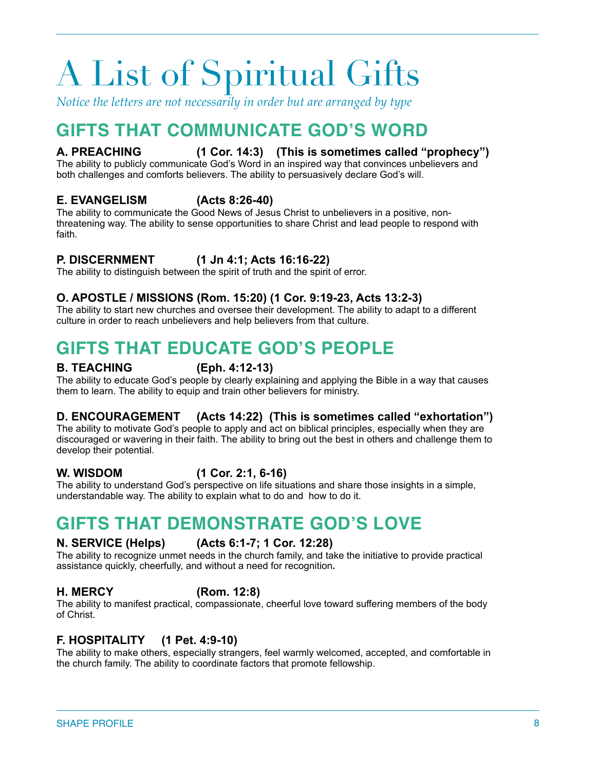## A List of Spiritual Gifts

*Notice the letters are not necessarily in order but are arranged by type*

## **GIFTS THAT COMMUNICATE GOD'S WORD**

### **A. PREACHING (1 Cor. 14:3) (This is sometimes called "prophecy")**

The ability to publicly communicate God's Word in an inspired way that convinces unbelievers and both challenges and comforts believers. The ability to persuasively declare God's will.

### **E. EVANGELISM (Acts 8:26-40)**

The ability to communicate the Good News of Jesus Christ to unbelievers in a positive, nonthreatening way. The ability to sense opportunities to share Christ and lead people to respond with faith.

### **P. DISCERNMENT (1 Jn 4:1; Acts 16:16-22)**

The ability to distinguish between the spirit of truth and the spirit of error.

### **O. APOSTLE / MISSIONS (Rom. 15:20) (1 Cor. 9:19-23, Acts 13:2-3)**

The ability to start new churches and oversee their development. The ability to adapt to a different culture in order to reach unbelievers and help believers from that culture.

## **GIFTS THAT EDUCATE GOD'S PEOPLE**

### **B. TEACHING (Eph. 4:12-13)**

The ability to educate God's people by clearly explaining and applying the Bible in a way that causes them to learn. The ability to equip and train other believers for ministry.

### **D. ENCOURAGEMENT (Acts 14:22) (This is sometimes called "exhortation")**

The ability to motivate God's people to apply and act on biblical principles, especially when they are discouraged or wavering in their faith. The ability to bring out the best in others and challenge them to develop their potential.

### **W. WISDOM (1 Cor. 2:1, 6-16)**

The ability to understand God's perspective on life situations and share those insights in a simple, understandable way. The ability to explain what to do and how to do it.

## **GIFTS THAT DEMONSTRATE GOD'S LOVE**

### **N. SERVICE (Helps) (Acts 6:1-7; 1 Cor. 12:28)**

The ability to recognize unmet needs in the church family, and take the initiative to provide practical assistance quickly, cheerfully, and without a need for recognition**.**

### **H. MERCY (Rom. 12:8)**

The ability to manifest practical, compassionate, cheerful love toward suffering members of the body of Christ.

#### **F. HOSPITALITY (1 Pet. 4:9-10)**

The ability to make others, especially strangers, feel warmly welcomed, accepted, and comfortable in the church family. The ability to coordinate factors that promote fellowship.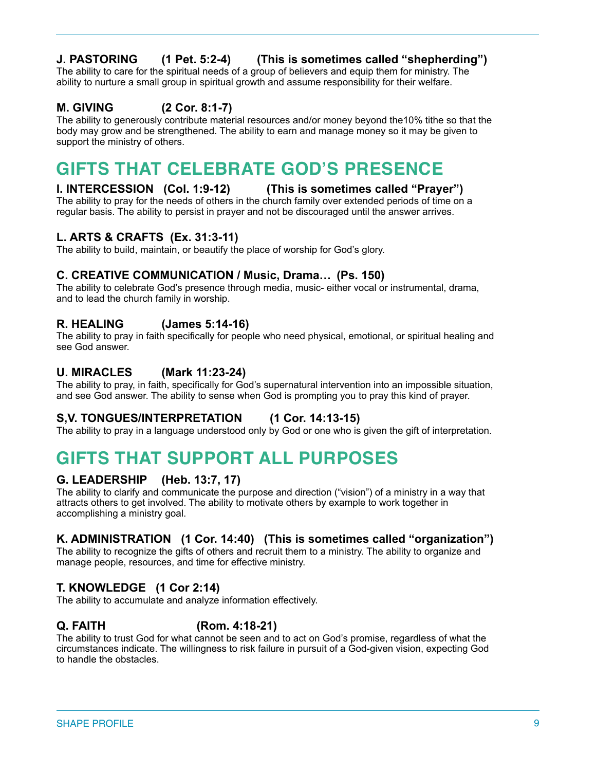### **J. PASTORING (1 Pet. 5:2-4) (This is sometimes called "shepherding")**

The ability to care for the spiritual needs of a group of believers and equip them for ministry. The ability to nurture a small group in spiritual growth and assume responsibility for their welfare.

### **M. GIVING (2 Cor. 8:1-7)**

The ability to generously contribute material resources and/or money beyond the10% tithe so that the body may grow and be strengthened. The ability to earn and manage money so it may be given to support the ministry of others.

## **GIFTS THAT CELEBRATE GOD'S PRESENCE**

### **I. INTERCESSION (Col. 1:9-12) (This is sometimes called "Prayer")**

The ability to pray for the needs of others in the church family over extended periods of time on a regular basis. The ability to persist in prayer and not be discouraged until the answer arrives.

### **L. ARTS & CRAFTS (Ex. 31:3-11)**

The ability to build, maintain, or beautify the place of worship for God's glory.

#### **C. CREATIVE COMMUNICATION / Music, Drama… (Ps. 150)**

The ability to celebrate God's presence through media, music- either vocal or instrumental, drama, and to lead the church family in worship.

### **R. HEALING (James 5:14-16)**

The ability to pray in faith specifically for people who need physical, emotional, or spiritual healing and see God answer.

#### **U. MIRACLES (Mark 11:23-24)**

The ability to pray, in faith, specifically for God's supernatural intervention into an impossible situation, and see God answer. The ability to sense when God is prompting you to pray this kind of prayer.

### **S,V. TONGUES/INTERPRETATION (1 Cor. 14:13-15)**

The ability to pray in a language understood only by God or one who is given the gift of interpretation.

## **GIFTS THAT SUPPORT ALL PURPOSES**

### **G. LEADERSHIP (Heb. 13:7, 17)**

The ability to clarify and communicate the purpose and direction ("vision") of a ministry in a way that attracts others to get involved. The ability to motivate others by example to work together in accomplishing a ministry goal.

#### **K. ADMINISTRATION (1 Cor. 14:40) (This is sometimes called "organization")**

The ability to recognize the gifts of others and recruit them to a ministry. The ability to organize and manage people, resources, and time for effective ministry.

### **T. KNOWLEDGE (1 Cor 2:14)**

The ability to accumulate and analyze information effectively.

### **Q. FAITH (Rom. 4:18-21)**

The ability to trust God for what cannot be seen and to act on God's promise, regardless of what the circumstances indicate. The willingness to risk failure in pursuit of a God-given vision, expecting God to handle the obstacles.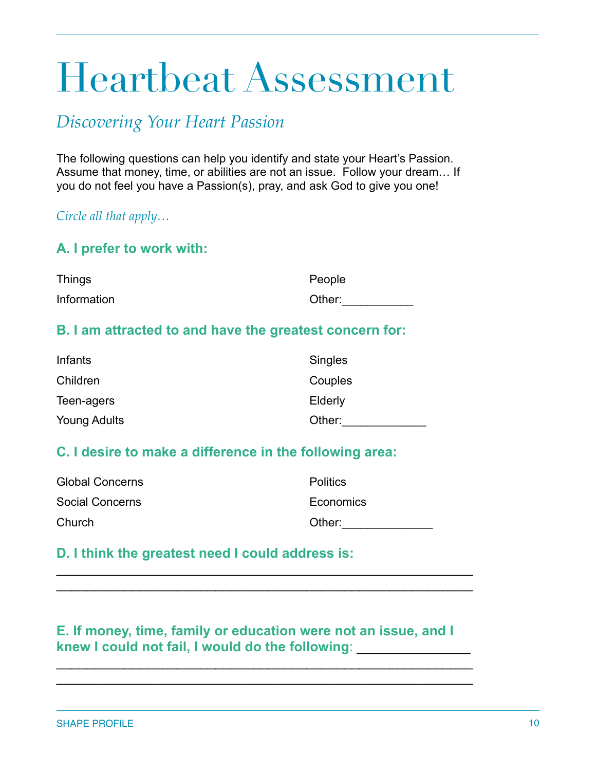## Heartbeat Assessment

### *Discovering Your Heart Passion*

The following questions can help you identify and state your Heart's Passion. Assume that money, time, or abilities are not an issue. Follow your dream… If you do not feel you have a Passion(s), pray, and ask God to give you one!

*Circle all that apply…*

### **A. I prefer to work with:**

| Things      | People |  |  |
|-------------|--------|--|--|
| Information | Other: |  |  |

### **B. I am attracted to and have the greatest concern for:**

| Infants             | <b>Singles</b> |
|---------------------|----------------|
| Children            | Couples        |
| Teen-agers          | Elderly        |
| <b>Young Adults</b> | Other:         |

### **C. I desire to make a difference in the following area:**

| <b>Global Concerns</b> | <b>Politics</b> |
|------------------------|-----------------|
| Social Concerns        | Economics       |
| Church                 | Other:          |

### **D. I think the greatest need I could address is:**

### **E. If money, time, family or education were not an issue, and I knew I could not fail, I would do the following**: \_\_\_\_\_\_\_\_\_\_\_\_\_\_\_

\_\_\_\_\_\_\_\_\_\_\_\_\_\_\_\_\_\_\_\_\_\_\_\_\_\_\_\_\_\_\_\_\_\_\_\_\_\_\_\_\_\_\_\_\_\_\_\_\_\_\_\_\_\_\_ \_\_\_\_\_\_\_\_\_\_\_\_\_\_\_\_\_\_\_\_\_\_\_\_\_\_\_\_\_\_\_\_\_\_\_\_\_\_\_\_\_\_\_\_\_\_\_\_\_\_\_\_\_\_\_

\_\_\_\_\_\_\_\_\_\_\_\_\_\_\_\_\_\_\_\_\_\_\_\_\_\_\_\_\_\_\_\_\_\_\_\_\_\_\_\_\_\_\_\_\_\_\_\_\_\_\_\_\_\_\_ \_\_\_\_\_\_\_\_\_\_\_\_\_\_\_\_\_\_\_\_\_\_\_\_\_\_\_\_\_\_\_\_\_\_\_\_\_\_\_\_\_\_\_\_\_\_\_\_\_\_\_\_\_\_\_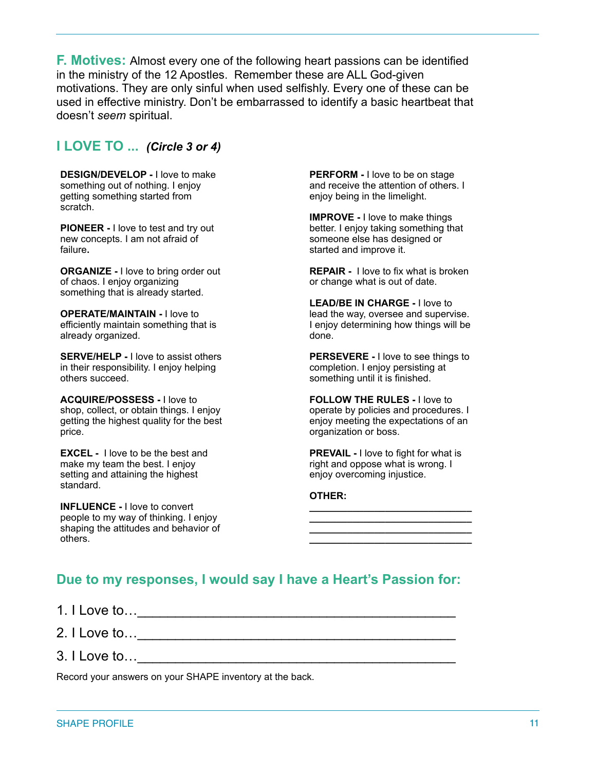**F. Motives:** Almost every one of the following heart passions can be identified in the ministry of the 12 Apostles. Remember these are ALL God-given motivations. They are only sinful when used selfishly. Every one of these can be used in effective ministry. Don't be embarrassed to identify a basic heartbeat that doesn't *seem* spiritual.

### **I LOVE TO ...** *(Circle 3 or 4)*

**DESIGN/DEVELOP -** I love to make something out of nothing. I enjoy getting something started from scratch.

**PIONEER -** I love to test and try out new concepts. I am not afraid of failure**.**

**ORGANIZE -** I love to bring order out of chaos. I enjoy organizing something that is already started.

**OPERATE/MAINTAIN -** I love to efficiently maintain something that is already organized.

**SERVE/HELP -** I love to assist others in their responsibility. I enjoy helping others succeed.

**ACQUIRE/POSSESS -** I love to shop, collect, or obtain things. I enjoy getting the highest quality for the best price.

**EXCEL -** I love to be the best and make my team the best. I enjoy setting and attaining the highest standard.

**INFLUENCE -** I love to convert people to my way of thinking. I enjoy shaping the attitudes and behavior of others.

**PERFORM -** I love to be on stage and receive the attention of others. I enjoy being in the limelight.

**IMPROVE -** I love to make things better. I enjoy taking something that someone else has designed or started and improve it.

**REPAIR -** I love to fix what is broken or change what is out of date.

**LEAD/BE IN CHARGE -** I love to lead the way, oversee and supervise. I enjoy determining how things will be done.

**PERSEVERE -** I love to see things to completion. I enjoy persisting at something until it is finished.

**FOLLOW THE RULES -** I love to operate by policies and procedures. I enjoy meeting the expectations of an organization or boss.

**PREVAIL -** I love to fight for what is right and oppose what is wrong. I enjoy overcoming injustice.

**\_\_\_\_\_\_\_\_\_\_\_\_\_\_\_\_\_\_\_\_\_\_\_\_\_\_\_\_\_\_ \_\_\_\_\_\_\_\_\_\_\_\_\_\_\_\_\_\_\_\_\_\_\_\_\_\_\_\_\_\_ \_\_\_\_\_\_\_\_\_\_\_\_\_\_\_\_\_\_\_\_\_\_\_\_\_\_\_\_\_\_ \_\_\_\_\_\_\_\_\_\_\_\_\_\_\_\_\_\_\_\_\_\_\_\_\_\_\_\_\_\_**

#### **OTHER:**

### **Due to my responses, I would say I have a Heart's Passion for:**

1. I Love to…\_\_\_\_\_\_\_\_\_\_\_\_\_\_\_\_\_\_\_\_\_\_\_\_\_\_\_\_\_\_\_\_\_ 2. I Love to…\_\_\_\_\_\_\_\_\_\_\_\_\_\_\_\_\_\_\_\_\_\_\_\_\_\_\_\_\_\_\_\_\_\_\_\_\_\_\_\_\_\_ 3. I Love to...

Record your answers on your SHAPE inventory at the back.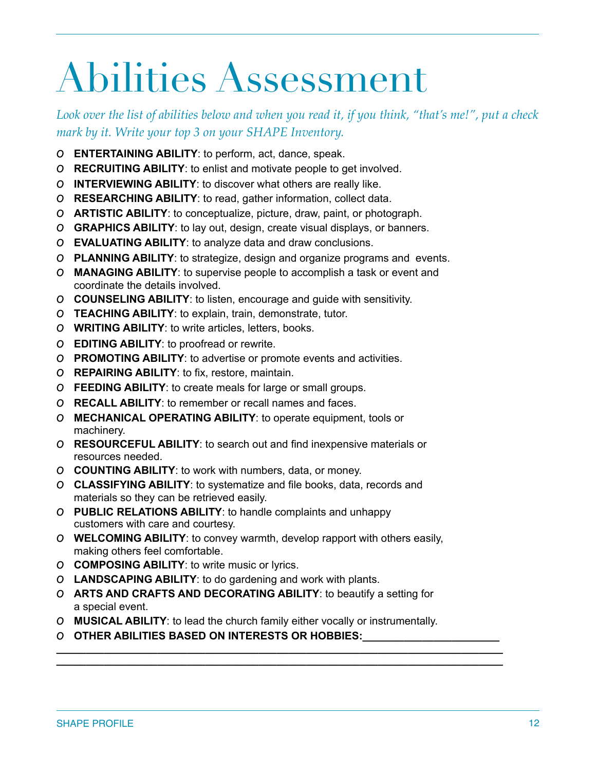## Abilities Assessment

*Look over the list of abilities below and when you read it, if you think, "that's me!", put a check mark by it. Write your top 3 on your SHAPE Inventory.*

- O **ENTERTAINING ABILITY**: to perform, act, dance, speak.
- O **RECRUITING ABILITY**: to enlist and motivate people to get involved.
- O **INTERVIEWING ABILITY**: to discover what others are really like.
- O **RESEARCHING ABILITY**: to read, gather information, collect data.
- O **ARTISTIC ABILITY**: to conceptualize, picture, draw, paint, or photograph.
- O **GRAPHICS ABILITY**: to lay out, design, create visual displays, or banners.
- O **EVALUATING ABILITY**: to analyze data and draw conclusions.
- O **PLANNING ABILITY**: to strategize, design and organize programs and events.
- O **MANAGING ABILITY**: to supervise people to accomplish a task or event and coordinate the details involved.
- O **COUNSELING ABILITY**: to listen, encourage and guide with sensitivity.
- O **TEACHING ABILITY**: to explain, train, demonstrate, tutor.
- O **WRITING ABILITY**: to write articles, letters, books.
- O **EDITING ABILITY**: to proofread or rewrite.
- O **PROMOTING ABILITY**: to advertise or promote events and activities.
- O **REPAIRING ABILITY**: to fix, restore, maintain.
- O **FEEDING ABILITY**: to create meals for large or small groups.
- O **RECALL ABILITY**: to remember or recall names and faces.
- O **MECHANICAL OPERATING ABILITY**: to operate equipment, tools or machinery.
- O **RESOURCEFUL ABILITY**: to search out and find inexpensive materials or resources needed.
- O **COUNTING ABILITY**: to work with numbers, data, or money.
- O **CLASSIFYING ABILITY**: to systematize and file books, data, records and materials so they can be retrieved easily.
- O **PUBLIC RELATIONS ABILITY**: to handle complaints and unhappy customers with care and courtesy.
- O **WELCOMING ABILITY**: to convey warmth, develop rapport with others easily, making others feel comfortable.
- O **COMPOSING ABILITY**: to write music or lyrics.
- O **LANDSCAPING ABILITY**: to do gardening and work with plants.
- O **ARTS AND CRAFTS AND DECORATING ABILITY**: to beautify a setting for a special event.
- O **MUSICAL ABILITY**: to lead the church family either vocally or instrumentally.

**\_\_\_\_\_\_\_\_\_\_\_\_\_\_\_\_\_\_\_\_\_\_\_\_\_\_\_\_\_\_\_\_\_\_\_\_\_\_\_\_\_\_\_\_\_\_\_\_\_\_\_\_\_\_\_\_\_\_\_\_\_\_\_\_\_\_\_\_\_\_\_\_\_\_\_ \_\_\_\_\_\_\_\_\_\_\_\_\_\_\_\_\_\_\_\_\_\_\_\_\_\_\_\_\_\_\_\_\_\_\_\_\_\_\_\_\_\_\_\_\_\_\_\_\_\_\_\_\_\_\_\_\_\_\_\_\_\_\_\_\_\_\_\_\_\_\_\_\_\_\_** 

O **OTHER ABILITIES BASED ON INTERESTS OR HOBBIES:\_\_\_\_\_\_\_\_\_\_\_\_\_\_\_\_\_\_\_\_\_\_\_**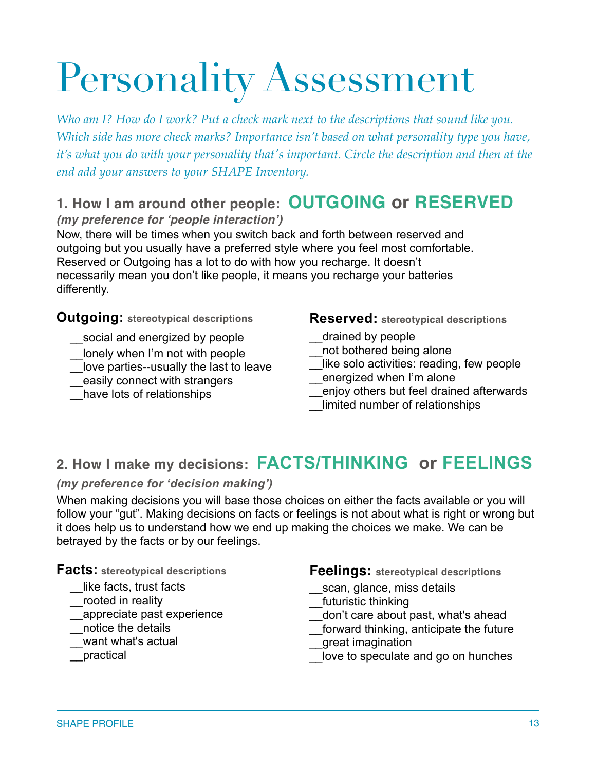## Personality Assessment

*Who am I? How do I work? Put a check mark next to the descriptions that sound like you. Which side has more check marks? Importance isn't based on what personality type you have, it's what you do with your personality that's important. Circle the description and then at the end add your answers to your SHAPE Inventory.*

## **1. How I am around other people: OUTGOING or RESERVED**

*(my preference for 'people interaction')*

Now, there will be times when you switch back and forth between reserved and outgoing but you usually have a preferred style where you feel most comfortable. Reserved or Outgoing has a lot to do with how you recharge. It doesn't necessarily mean you don't like people, it means you recharge your batteries differently.

**Outgoing: stereotypical descriptions**

- social and energized by people
- lonely when I'm not with people
- love parties--usually the last to leave
- easily connect with strangers
- have lots of relationships

**Reserved: stereotypical descriptions**

- drained by people
- \_\_not bothered being alone
- like solo activities: reading, few people
- energized when I'm alone
- \_\_enjoy others but feel drained afterwards
- limited number of relationships

### **2. How I make my decisions: FACTS/THINKING or FEELINGS**

### *(my preference for 'decision making')*

When making decisions you will base those choices on either the facts available or you will follow your "gut". Making decisions on facts or feelings is not about what is right or wrong but it does help us to understand how we end up making the choices we make. We can be betrayed by the facts or by our feelings.

### **Facts: stereotypical descriptions**

- like facts, trust facts
- \_\_rooted in reality
- \_\_appreciate past experience
- \_\_notice the details
- want what's actual
- \_\_practical

**Feelings: stereotypical descriptions**

- scan, glance, miss details
- futuristic thinking
- \_\_don't care about past, what's ahead
- forward thinking, anticipate the future
- \_\_great imagination
- love to speculate and go on hunches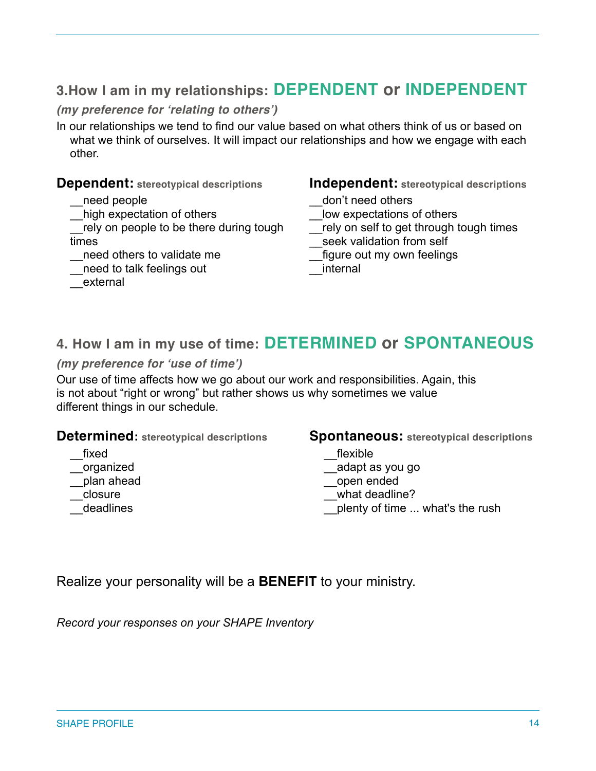### **3.How I am in my relationships: DEPENDENT or INDEPENDENT**

### *(my preference for 'relating to others')*

In our relationships we tend to find our value based on what others think of us or based on what we think of ourselves. It will impact our relationships and how we engage with each other.

### **Dependent: stereotypical descriptions**

- \_\_need people
- high expectation of others

rely on people to be there during tough times

- \_\_need others to validate me
- \_\_need to talk feelings out
- \_\_external

**Independent: stereotypical descriptions**

- \_\_don't need others
- low expectations of others
- rely on self to get through tough times
- seek validation from self
- figure out my own feelings
- \_\_internal

### **4. How I am in my use of time: DETERMINED or SPONTANEOUS**

### *(my preference for 'use of time')*

Our use of time affects how we go about our work and responsibilities. Again, this is not about "right or wrong" but rather shows us why sometimes we value different things in our schedule.

### **Determined: stereotypical descriptions**

- \_\_fixed
- \_\_organized
- \_\_plan ahead
- \_\_closure
- deadlines

**Spontaneous: stereotypical descriptions**

- flexible
- \_\_adapt as you go
- \_\_open ended
- what deadline?
- plenty of time ... what's the rush

Realize your personality will be a **BENEFIT** to your ministry.

*Record your responses on your SHAPE Inventory*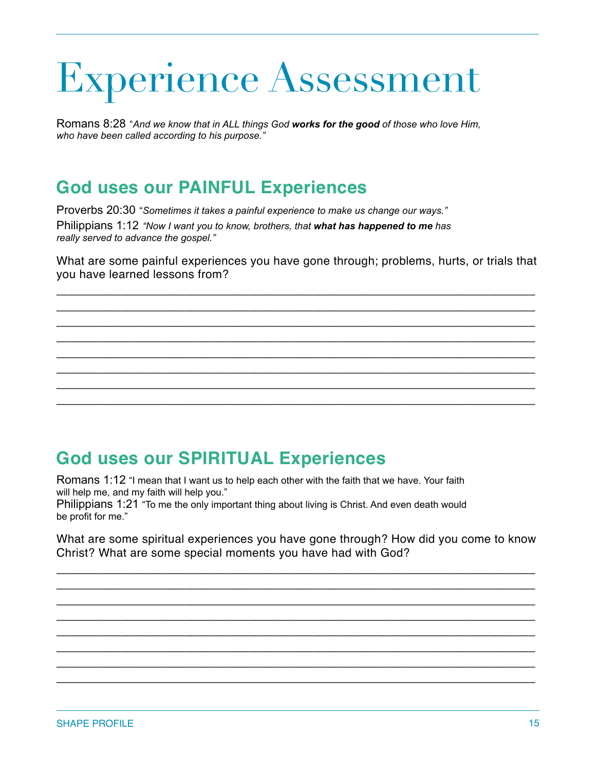## Experience Assessment

Romans 8:28 "*And we know that in ALL things God works for the good of those who love Him, who have been called according to his purpose."* 

## **God uses our PAINFUL Experiences**

Proverbs 20:30 "*Sometimes it takes a painful experience to make us change our ways."*

Philippians 1:12 *"Now I want you to know, brothers, that what has happened to me has really served to advance the gospel."*

What are some painful experiences you have gone through; problems, hurts, or trials that you have learned lessons from?

\_\_\_\_\_\_\_\_\_\_\_\_\_\_\_\_\_\_\_\_\_\_\_\_\_\_\_\_\_\_\_\_\_\_\_\_\_\_\_\_\_\_\_\_\_\_\_\_\_\_\_\_\_\_\_\_\_\_\_\_\_\_\_\_\_\_\_\_\_\_\_\_\_\_\_\_\_\_\_\_\_\_ \_\_\_\_\_\_\_\_\_\_\_\_\_\_\_\_\_\_\_\_\_\_\_\_\_\_\_\_\_\_\_\_\_\_\_\_\_\_\_\_\_\_\_\_\_\_\_\_\_\_\_\_\_\_\_\_\_\_\_\_\_\_\_\_\_\_\_\_\_\_\_\_\_\_\_\_\_\_\_\_\_\_ \_\_\_\_\_\_\_\_\_\_\_\_\_\_\_\_\_\_\_\_\_\_\_\_\_\_\_\_\_\_\_\_\_\_\_\_\_\_\_\_\_\_\_\_\_\_\_\_\_\_\_\_\_\_\_\_\_\_\_\_\_\_\_\_\_\_\_\_\_\_\_\_\_\_\_\_\_\_\_\_\_\_ \_\_\_\_\_\_\_\_\_\_\_\_\_\_\_\_\_\_\_\_\_\_\_\_\_\_\_\_\_\_\_\_\_\_\_\_\_\_\_\_\_\_\_\_\_\_\_\_\_\_\_\_\_\_\_\_\_\_\_\_\_\_\_\_\_\_\_\_\_\_\_\_\_\_\_\_\_\_\_\_\_\_ \_\_\_\_\_\_\_\_\_\_\_\_\_\_\_\_\_\_\_\_\_\_\_\_\_\_\_\_\_\_\_\_\_\_\_\_\_\_\_\_\_\_\_\_\_\_\_\_\_\_\_\_\_\_\_\_\_\_\_\_\_\_\_\_\_\_\_\_\_\_\_\_\_\_\_\_\_\_\_\_\_\_ \_\_\_\_\_\_\_\_\_\_\_\_\_\_\_\_\_\_\_\_\_\_\_\_\_\_\_\_\_\_\_\_\_\_\_\_\_\_\_\_\_\_\_\_\_\_\_\_\_\_\_\_\_\_\_\_\_\_\_\_\_\_\_\_\_\_\_\_\_\_\_\_\_\_\_\_\_\_\_\_\_\_ \_\_\_\_\_\_\_\_\_\_\_\_\_\_\_\_\_\_\_\_\_\_\_\_\_\_\_\_\_\_\_\_\_\_\_\_\_\_\_\_\_\_\_\_\_\_\_\_\_\_\_\_\_\_\_\_\_\_\_\_\_\_\_\_\_\_\_\_\_\_\_\_\_\_\_\_\_\_\_\_\_\_ \_\_\_\_\_\_\_\_\_\_\_\_\_\_\_\_\_\_\_\_\_\_\_\_\_\_\_\_\_\_\_\_\_\_\_\_\_\_\_\_\_\_\_\_\_\_\_\_\_\_\_\_\_\_\_\_\_\_\_\_\_\_\_\_\_\_\_\_\_\_\_\_\_\_\_\_\_\_\_\_\_\_

## **God uses our SPIRITUAL Experiences**

Romans 1:12 "I mean that I want us to help each other with the faith that we have. Your faith will help me, and my faith will help you."

Philippians 1:21 "To me the only important thing about living is Christ. And even death would be profit for me."

What are some spiritual experiences you have gone through? How did you come to know Christ? What are some special moments you have had with God?

\_\_\_\_\_\_\_\_\_\_\_\_\_\_\_\_\_\_\_\_\_\_\_\_\_\_\_\_\_\_\_\_\_\_\_\_\_\_\_\_\_\_\_\_\_\_\_\_\_\_\_\_\_\_\_\_\_\_\_\_\_\_\_\_\_\_\_\_\_\_\_\_\_\_\_\_\_\_\_\_\_\_ \_\_\_\_\_\_\_\_\_\_\_\_\_\_\_\_\_\_\_\_\_\_\_\_\_\_\_\_\_\_\_\_\_\_\_\_\_\_\_\_\_\_\_\_\_\_\_\_\_\_\_\_\_\_\_\_\_\_\_\_\_\_\_\_\_\_\_\_\_\_\_\_\_\_\_\_\_\_\_\_\_\_ \_\_\_\_\_\_\_\_\_\_\_\_\_\_\_\_\_\_\_\_\_\_\_\_\_\_\_\_\_\_\_\_\_\_\_\_\_\_\_\_\_\_\_\_\_\_\_\_\_\_\_\_\_\_\_\_\_\_\_\_\_\_\_\_\_\_\_\_\_\_\_\_\_\_\_\_\_\_\_\_\_\_ \_\_\_\_\_\_\_\_\_\_\_\_\_\_\_\_\_\_\_\_\_\_\_\_\_\_\_\_\_\_\_\_\_\_\_\_\_\_\_\_\_\_\_\_\_\_\_\_\_\_\_\_\_\_\_\_\_\_\_\_\_\_\_\_\_\_\_\_\_\_\_\_\_\_\_\_\_\_\_\_\_\_ \_\_\_\_\_\_\_\_\_\_\_\_\_\_\_\_\_\_\_\_\_\_\_\_\_\_\_\_\_\_\_\_\_\_\_\_\_\_\_\_\_\_\_\_\_\_\_\_\_\_\_\_\_\_\_\_\_\_\_\_\_\_\_\_\_\_\_\_\_\_\_\_\_\_\_\_\_\_\_\_\_\_ \_\_\_\_\_\_\_\_\_\_\_\_\_\_\_\_\_\_\_\_\_\_\_\_\_\_\_\_\_\_\_\_\_\_\_\_\_\_\_\_\_\_\_\_\_\_\_\_\_\_\_\_\_\_\_\_\_\_\_\_\_\_\_\_\_\_\_\_\_\_\_\_\_\_\_\_\_\_\_\_\_\_ \_\_\_\_\_\_\_\_\_\_\_\_\_\_\_\_\_\_\_\_\_\_\_\_\_\_\_\_\_\_\_\_\_\_\_\_\_\_\_\_\_\_\_\_\_\_\_\_\_\_\_\_\_\_\_\_\_\_\_\_\_\_\_\_\_\_\_\_\_\_\_\_\_\_\_\_\_\_\_\_\_\_ \_\_\_\_\_\_\_\_\_\_\_\_\_\_\_\_\_\_\_\_\_\_\_\_\_\_\_\_\_\_\_\_\_\_\_\_\_\_\_\_\_\_\_\_\_\_\_\_\_\_\_\_\_\_\_\_\_\_\_\_\_\_\_\_\_\_\_\_\_\_\_\_\_\_\_\_\_\_\_\_\_\_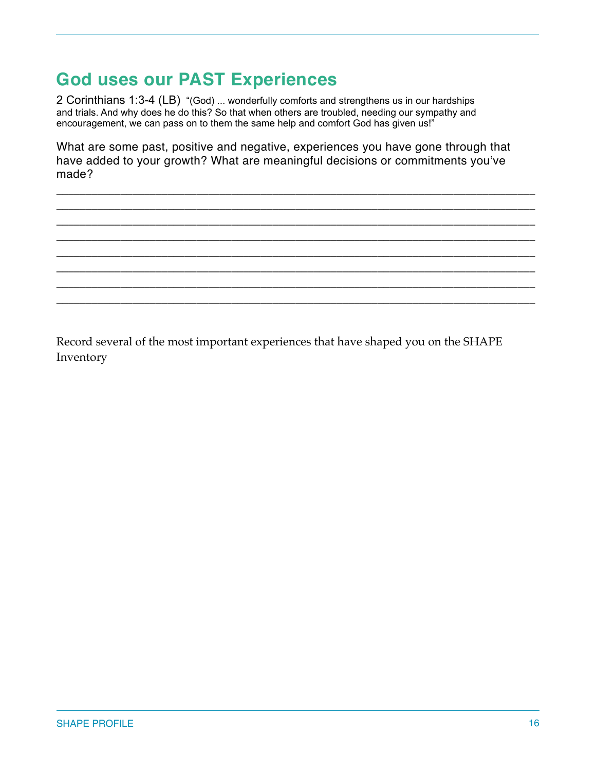## **God uses our PAST Experiences**

2 Corinthians 1:3-4 (LB) "(God) ... wonderfully comforts and strengthens us in our hardships and trials. And why does he do this? So that when others are troubled, needing our sympathy and encouragement, we can pass on to them the same help and comfort God has given us!"

What are some past, positive and negative, experiences you have gone through that have added to your growth? What are meaningful decisions or commitments you've made?

\_\_\_\_\_\_\_\_\_\_\_\_\_\_\_\_\_\_\_\_\_\_\_\_\_\_\_\_\_\_\_\_\_\_\_\_\_\_\_\_\_\_\_\_\_\_\_\_\_\_\_\_\_\_\_\_\_\_\_\_\_\_\_\_\_\_\_\_\_\_\_\_\_\_\_\_\_\_\_\_\_\_ \_\_\_\_\_\_\_\_\_\_\_\_\_\_\_\_\_\_\_\_\_\_\_\_\_\_\_\_\_\_\_\_\_\_\_\_\_\_\_\_\_\_\_\_\_\_\_\_\_\_\_\_\_\_\_\_\_\_\_\_\_\_\_\_\_\_\_\_\_\_\_\_\_\_\_\_\_\_\_\_\_\_ \_\_\_\_\_\_\_\_\_\_\_\_\_\_\_\_\_\_\_\_\_\_\_\_\_\_\_\_\_\_\_\_\_\_\_\_\_\_\_\_\_\_\_\_\_\_\_\_\_\_\_\_\_\_\_\_\_\_\_\_\_\_\_\_\_\_\_\_\_\_\_\_\_\_\_\_\_\_\_\_\_\_ \_\_\_\_\_\_\_\_\_\_\_\_\_\_\_\_\_\_\_\_\_\_\_\_\_\_\_\_\_\_\_\_\_\_\_\_\_\_\_\_\_\_\_\_\_\_\_\_\_\_\_\_\_\_\_\_\_\_\_\_\_\_\_\_\_\_\_\_\_\_\_\_\_\_\_\_\_\_\_\_\_\_ \_\_\_\_\_\_\_\_\_\_\_\_\_\_\_\_\_\_\_\_\_\_\_\_\_\_\_\_\_\_\_\_\_\_\_\_\_\_\_\_\_\_\_\_\_\_\_\_\_\_\_\_\_\_\_\_\_\_\_\_\_\_\_\_\_\_\_\_\_\_\_\_\_\_\_\_\_\_\_\_\_\_ \_\_\_\_\_\_\_\_\_\_\_\_\_\_\_\_\_\_\_\_\_\_\_\_\_\_\_\_\_\_\_\_\_\_\_\_\_\_\_\_\_\_\_\_\_\_\_\_\_\_\_\_\_\_\_\_\_\_\_\_\_\_\_\_\_\_\_\_\_\_\_\_\_\_\_\_\_\_\_\_\_\_ \_\_\_\_\_\_\_\_\_\_\_\_\_\_\_\_\_\_\_\_\_\_\_\_\_\_\_\_\_\_\_\_\_\_\_\_\_\_\_\_\_\_\_\_\_\_\_\_\_\_\_\_\_\_\_\_\_\_\_\_\_\_\_\_\_\_\_\_\_\_\_\_\_\_\_\_\_\_\_\_\_\_ \_\_\_\_\_\_\_\_\_\_\_\_\_\_\_\_\_\_\_\_\_\_\_\_\_\_\_\_\_\_\_\_\_\_\_\_\_\_\_\_\_\_\_\_\_\_\_\_\_\_\_\_\_\_\_\_\_\_\_\_\_\_\_\_\_\_\_\_\_\_\_\_\_\_\_\_\_\_\_\_\_\_

Record several of the most important experiences that have shaped you on the SHAPE Inventory